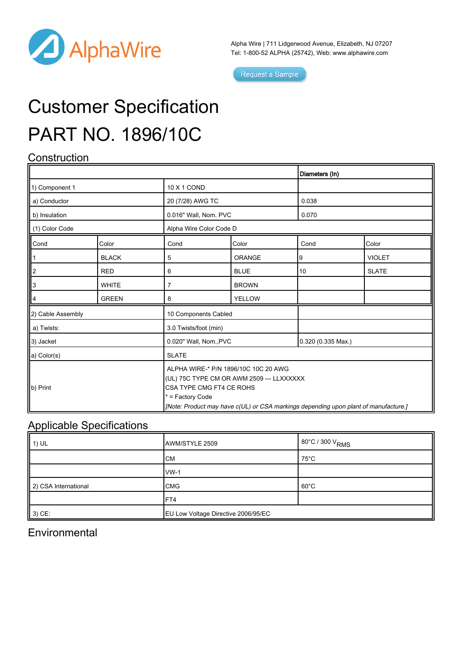

Alpha Wire | 711 Lidgerwood Avenue, Elizabeth, NJ 07207 Tel: 1-800-52 ALPHA (25742), Web: [www.alphawire.com](http://www.alphawire.com)

Request a Sample

# Customer Specification PART NO. 1896/10C

## **Construction**

|                   |              |                                                                                                                                                                                                                            |               | Diameters (In)              |               |
|-------------------|--------------|----------------------------------------------------------------------------------------------------------------------------------------------------------------------------------------------------------------------------|---------------|-----------------------------|---------------|
| 1) Component 1    |              | 10 X 1 COND                                                                                                                                                                                                                |               |                             |               |
| a) Conductor      |              | 20 (7/28) AWG TC                                                                                                                                                                                                           |               | 0.038                       |               |
| b) Insulation     |              | 0.016" Wall, Nom. PVC                                                                                                                                                                                                      |               | 0.070                       |               |
| (1) Color Code    |              | Alpha Wire Color Code D                                                                                                                                                                                                    |               |                             |               |
| Cond              | Color        | Cond                                                                                                                                                                                                                       | Color         | Cond                        | Color         |
|                   | <b>BLACK</b> | 5                                                                                                                                                                                                                          | <b>ORANGE</b> | 9                           | <b>VIOLET</b> |
| ll2               | <b>RED</b>   | 6                                                                                                                                                                                                                          | <b>BLUE</b>   | 10                          | <b>SLATE</b>  |
| IIз               | <b>WHITE</b> | $\overline{7}$                                                                                                                                                                                                             | <b>BROWN</b>  |                             |               |
|                   | <b>GREEN</b> | 8                                                                                                                                                                                                                          | <b>YELLOW</b> |                             |               |
| 2) Cable Assembly |              | 10 Components Cabled                                                                                                                                                                                                       |               |                             |               |
| a) Twists:        |              | 3.0 Twists/foot (min)                                                                                                                                                                                                      |               |                             |               |
| 3) Jacket         |              | 0.020" Wall, Nom., PVC                                                                                                                                                                                                     |               | $0.320(0.335 \text{ Max.})$ |               |
| a) Color(s)       |              | <b>SLATE</b>                                                                                                                                                                                                               |               |                             |               |
| b) Print          |              | ALPHA WIRE-* P/N 1896/10C 10C 20 AWG<br>(UL) 75C TYPE CM OR AWM 2509 --- LLXXXXXX<br>CSA TYPE CMG FT4 CE ROHS<br>$*$ = Factory Code<br>[Note: Product may have c(UL) or CSA markings depending upon plant of manufacture.] |               |                             |               |

## Applicable Specifications

| $\parallel$ 1) UL    | AWM/STYLE 2509                      | 80°C / 300 V <sub>RMS</sub> |
|----------------------|-------------------------------------|-----------------------------|
|                      | CM                                  | $75^{\circ}$ C              |
|                      | $vw-1$                              |                             |
| 2) CSA International | <b>CMG</b>                          | $60^{\circ}$ C              |
|                      | FT4                                 |                             |
| $3)$ CE:             | EU Low Voltage Directive 2006/95/EC |                             |

#### **Environmental**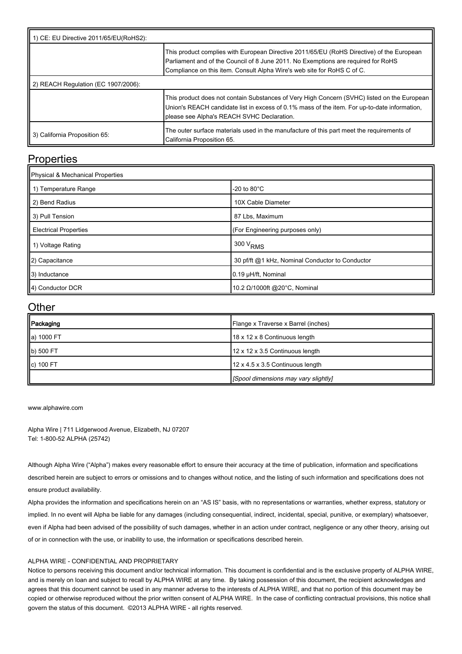| 1) CE: EU Directive 2011/65/EU(RoHS2): |                                                                                                                                                                                                                                                           |  |  |  |
|----------------------------------------|-----------------------------------------------------------------------------------------------------------------------------------------------------------------------------------------------------------------------------------------------------------|--|--|--|
|                                        | This product complies with European Directive 2011/65/EU (RoHS Directive) of the European<br>Parliament and of the Council of 8 June 2011. No Exemptions are required for RoHS<br>Compliance on this item. Consult Alpha Wire's web site for RoHS C of C. |  |  |  |
| 2) REACH Regulation (EC 1907/2006):    |                                                                                                                                                                                                                                                           |  |  |  |
|                                        | This product does not contain Substances of Very High Concern (SVHC) listed on the European<br>Union's REACH candidate list in excess of 0.1% mass of the item. For up-to-date information,<br>please see Alpha's REACH SVHC Declaration.                 |  |  |  |
| 3) California Proposition 65:          | The outer surface materials used in the manufacture of this part meet the requirements of<br>California Proposition 65.                                                                                                                                   |  |  |  |

#### **Properties**

| Physical & Mechanical Properties |                                                 |  |  |  |
|----------------------------------|-------------------------------------------------|--|--|--|
| 1 1) Temperature Range           | -20 to $80^{\circ}$ C                           |  |  |  |
| 2) Bend Radius                   | 10X Cable Diameter                              |  |  |  |
| 3) Pull Tension                  | 87 Lbs, Maximum                                 |  |  |  |
| <b>Electrical Properties</b>     | (For Engineering purposes only)                 |  |  |  |
| 1) Voltage Rating                | 300 V <sub>RMS</sub>                            |  |  |  |
| 2) Capacitance                   | 30 pf/ft @1 kHz, Nominal Conductor to Conductor |  |  |  |
| 3) Inductance                    | 0.19 µH/ft, Nominal                             |  |  |  |
| 4) Conductor DCR                 | 10.2 Ω/1000ft @20°C, Nominal                    |  |  |  |

#### **Other**

| Packaging  | Flange x Traverse x Barrel (inches)  |
|------------|--------------------------------------|
| a) 1000 FT | 18 x 12 x 8 Continuous length        |
| b) 500 FT  | 12 x 12 x 3.5 Continuous length      |
| c) 100 FT  | 12 x 4.5 x 3.5 Continuous length     |
|            | [Spool dimensions may vary slightly] |

[www.alphawire.com](http://www.alphawire.com)

Alpha Wire | 711 Lidgerwood Avenue, Elizabeth, NJ 07207 Tel: 1-800-52 ALPHA (25742)

Although Alpha Wire ("Alpha") makes every reasonable effort to ensure their accuracy at the time of publication, information and specifications described herein are subject to errors or omissions and to changes without notice, and the listing of such information and specifications does not ensure product availability.

Alpha provides the information and specifications herein on an "AS IS" basis, with no representations or warranties, whether express, statutory or implied. In no event will Alpha be liable for any damages (including consequential, indirect, incidental, special, punitive, or exemplary) whatsoever, even if Alpha had been advised of the possibility of such damages, whether in an action under contract, negligence or any other theory, arising out of or in connection with the use, or inability to use, the information or specifications described herein.

#### ALPHA WIRE - CONFIDENTIAL AND PROPRIETARY

Notice to persons receiving this document and/or technical information. This document is confidential and is the exclusive property of ALPHA WIRE, and is merely on loan and subject to recall by ALPHA WIRE at any time. By taking possession of this document, the recipient acknowledges and agrees that this document cannot be used in any manner adverse to the interests of ALPHA WIRE, and that no portion of this document may be copied or otherwise reproduced without the prior written consent of ALPHA WIRE. In the case of conflicting contractual provisions, this notice shall govern the status of this document. ©2013 ALPHA WIRE - all rights reserved.